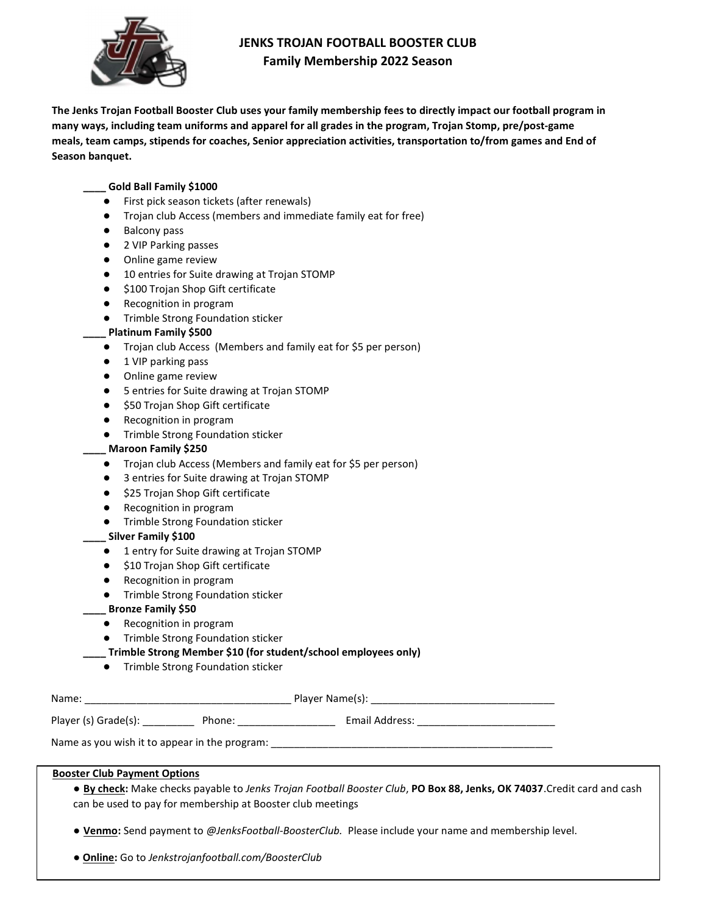

# JENKS TROJAN FOOTBALL BOOSTER CLUB Family Membership 2022 Season

The Jenks Trojan Football Booster Club uses your family membership fees to directly impact our football program in many ways, including team uniforms and apparel for all grades in the program, Trojan Stomp, pre/post-game meals, team camps, stipends for coaches, Senior appreciation activities, transportation to/from games and End of Season banquet.

#### \_\_\_\_ Gold Ball Family \$1000

- First pick season tickets (after renewals)
- Trojan club Access (members and immediate family eat for free)
- Balcony pass
- 2 VIP Parking passes
- Online game review
- 10 entries for Suite drawing at Trojan STOMP
- \$100 Trojan Shop Gift certificate
- Recognition in program
- Trimble Strong Foundation sticker

#### Platinum Family \$500

- Trojan club Access (Members and family eat for \$5 per person)
- 1 VIP parking pass
- Online game review
- 5 entries for Suite drawing at Trojan STOMP
- \$50 Trojan Shop Gift certificate
- Recognition in program
- Trimble Strong Foundation sticker

#### Maroon Family \$250

- Trojan club Access (Members and family eat for \$5 per person)
- 3 entries for Suite drawing at Trojan STOMP
- \$25 Trojan Shop Gift certificate
- Recognition in program
- Trimble Strong Foundation sticker

#### \_ Silver Family \$100

- 1 entry for Suite drawing at Trojan STOMP
- \$10 Trojan Shop Gift certificate
- Recognition in program
- Trimble Strong Foundation sticker
- \_ Bronze Family \$50
	- Recognition in program
	- Trimble Strong Foundation sticker

\_\_\_\_ Trimble Strong Member \$10 (for student/school employees only)

● Trimble Strong Foundation sticker

| Name:                |        | Player Name(s): |  |
|----------------------|--------|-----------------|--|
| Player (s) Grade(s): | Phone: | Email Address:  |  |

Name as you wish it to appear in the program:

#### Booster Club Payment Options

- By check: Make checks payable to Jenks Trojan Football Booster Club, PO Box 88, Jenks, OK 74037.Credit card and cash can be used to pay for membership at Booster club meetings
- Venmo: Send payment to @JenksFootball-BoosterClub. Please include your name and membership level.
- Online: Go to Jenkstrojanfootball.com/BoosterClub